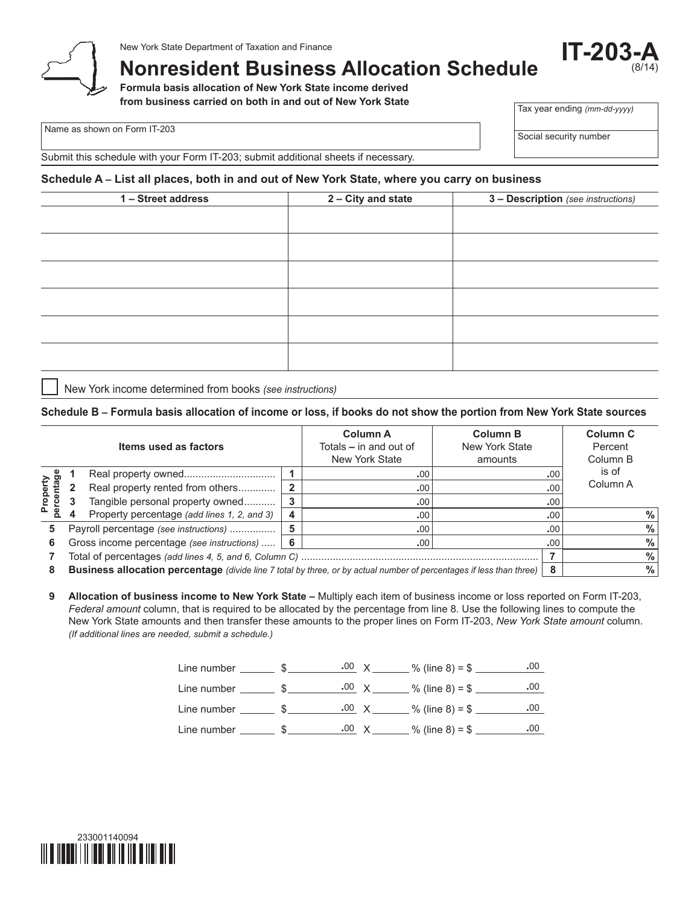

# **Nonresident Business Allocation Schedule**

**Formula basis allocation of New York State income derived from business carried on both in and out of New York State**

Name as shown on Form IT-203

Tax year ending *(mm-dd-yyyy)*

**IT-203-A**

(8/14)

Social security number

Submit this schedule with your Form IT-203; submit additional sheets if necessary.

### **Schedule A – List all places, both in and out of New York State, where you carry on business**

| 1 - Street address | 2 - City and state | 3 - Description (see instructions) |  |  |
|--------------------|--------------------|------------------------------------|--|--|
|                    |                    |                                    |  |  |
|                    |                    |                                    |  |  |
|                    |                    |                                    |  |  |
|                    |                    |                                    |  |  |
|                    |                    |                                    |  |  |
|                    |                    |                                    |  |  |
|                    |                    |                                    |  |  |
|                    |                    |                                    |  |  |
|                    |                    |                                    |  |  |
|                    |                    |                                    |  |  |
|                    |                    |                                    |  |  |

New York income determined from books *(see instructions)*

### **Schedule B – Formula basis allocation of income or loss, if books do not show the portion from New York State sources**

| Items used as factors      |                                                                                                                      |                                                 | <b>Column A</b><br>Totals – in and out of<br>New York State | <b>Column B</b><br>New York State<br>amounts |  | Column <sub>C</sub><br>Percent<br>Column B |                   |
|----------------------------|----------------------------------------------------------------------------------------------------------------------|-------------------------------------------------|-------------------------------------------------------------|----------------------------------------------|--|--------------------------------------------|-------------------|
| Property<br>ercentage<br>ē |                                                                                                                      |                                                 |                                                             | .00                                          |  | .00                                        | is of<br>Column A |
|                            |                                                                                                                      | Real property rented from others                | $\overline{2}$                                              | .00                                          |  | .00                                        |                   |
|                            |                                                                                                                      | Tangible personal property owned                | 3                                                           | .00                                          |  | .00                                        |                   |
|                            |                                                                                                                      | Property percentage (add lines 1, 2, and 3)     | 4                                                           | .00                                          |  | .00.                                       | %                 |
| 5                          |                                                                                                                      | Payroll percentage (see instructions)           | 5                                                           | .00                                          |  | .00.                                       | $\frac{0}{0}$     |
| 6                          |                                                                                                                      | Gross income percentage (see instructions)    6 |                                                             | .00.                                         |  | .00.                                       | %                 |
|                            |                                                                                                                      |                                                 |                                                             |                                              |  |                                            | $\frac{0}{0}$     |
| 8                          | Business allocation percentage (divide line 7 total by three, or by actual number of percentages if less than three) |                                                 |                                                             |                                              |  |                                            | $\%$              |

**9 Allocation of business income to New York State –** Multiply each item of business income or loss reported on Form IT-203, *Federal amount* column, that is required to be allocated by the percentage from line 8. Use the following lines to compute the New York State amounts and then transfer these amounts to the proper lines on Form IT-203, *New York State amount* column. *(If additional lines are needed, submit a schedule.)*